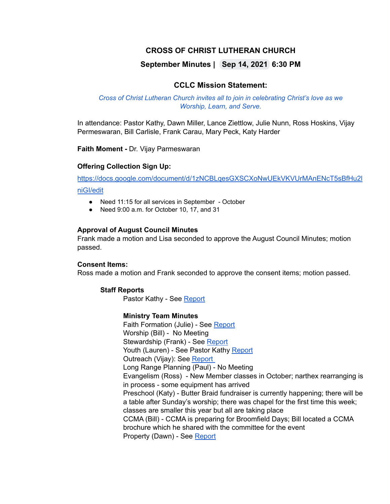# **CROSS OF CHRIST LUTHERAN CHURCH**

# **September Minutes | Sep 14, 2021 6:30 PM**

## **CCLC Mission Statement:**

#### *Cross of Christ Lutheran Church invites all to join in celebrating Christ's love as we Worship, Learn, and Serve.*

In attendance: Pastor Kathy, Dawn Miller, Lance Ziettlow, Julie Nunn, Ross Hoskins, Vijay Permeswaran, Bill Carlisle, Frank Carau, Mary Peck, Katy Harder

**Faith Moment -** Dr. Vijay Parmeswaran

### **Offering Collection Sign Up:**

[https://docs.google.com/document/d/1zNCBLqesGXSCXoNwUEkVKVUrMAnENcT5sBfHu2l](https://docs.google.com/document/d/1zNCBLqesGXSCXoNwUEkVKVUrMAnENcT5sBfHu2lniGI/edit)

#### [niGI/edit](https://docs.google.com/document/d/1zNCBLqesGXSCXoNwUEkVKVUrMAnENcT5sBfHu2lniGI/edit)

- Need 11:15 for all services in September October
- Need 9:00 a.m. for October 10, 17, and 31

#### **Approval of August Council Minutes**

Frank made a motion and Lisa seconded to approve the August Council Minutes; motion passed.

#### **Consent Items:**

Ross made a motion and Frank seconded to approve the consent items; motion passed.

#### **Staff Reports**

Pastor Kathy - See [Report](https://docs.google.com/document/d/10gQ3ABifg2qmwq5ag8NCwqGrAnZiLxVc/edit)

#### **Ministry Team Minutes**

Faith Formation (Julie) - See [Report](https://docs.google.com/document/d/1lRFz3gMlbKlTxS-XC81fxcGhd6h-AbuK/edit) Worship (Bill) - No Meeting Stewardship (Frank) - See [Report](https://docs.google.com/document/d/1KZT-s8FgT19kAT8-FPU_sy45Xv5Bsgn1/edit) Youth (Lauren) - See Pastor Kathy [Report](https://docs.google.com/document/d/1KZT-s8FgT19kAT8-FPU_sy45Xv5Bsgn1/edit) Outreach (Vijay): See [Report](https://docs.google.com/document/d/1ruYyhabXcOIAcE89UIQZRcdb1Pib9PXk/edit) Long Range Planning (Paul) - No Meeting Evangelism (Ross) - New Member classes in October; narthex rearranging is in process - some equipment has arrived Preschool (Katy) - Butter Braid fundraiser is currently happening; there will be a table after Sunday's worship; there was chapel for the first time this week; classes are smaller this year but all are taking place CCMA (Bill) - CCMA is preparing for Broomfield Days; Bill located a CCMA brochure which he shared with the committee for the event Property (Dawn) - See [Report](https://docs.google.com/document/d/1tkLhYpbnHVJnoqXBjG3pBOPmA6OqM60ntx9ZyrlzhTQ/edit)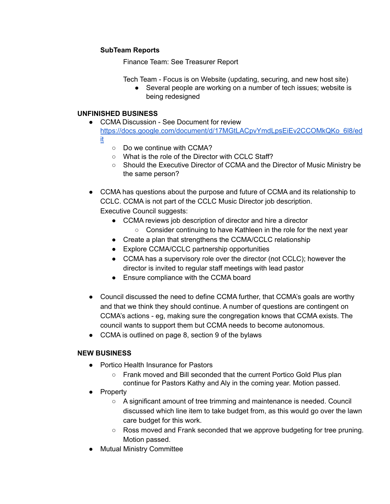## **SubTeam Reports**

Finance Team: See Treasurer Report

Tech Team - Focus is on Website (updating, securing, and new host site)

● Several people are working on a number of tech issues; website is being redesigned

## **UNFINISHED BUSINESS**

- CCMA Discussion See Document for review [https://docs.google.com/document/d/17MGtLACpvYmdLpsEiEv2CCOMkQKo\\_6l8/ed](https://docs.google.com/document/d/17MGtLACpvYmdLpsEiEv2CCOMkQKo_6l8/edit) [it](https://docs.google.com/document/d/17MGtLACpvYmdLpsEiEv2CCOMkQKo_6l8/edit)
	- Do we continue with CCMA?
	- What is the role of the Director with CCLC Staff?
	- Should the Executive Director of CCMA and the Director of Music Ministry be the same person?
- CCMA has questions about the purpose and future of CCMA and its relationship to CCLC. CCMA is not part of the CCLC Music Director job description. Executive Council suggests:
	- CCMA reviews job description of director and hire a director ○ Consider continuing to have Kathleen in the role for the next year
	- Create a plan that strengthens the CCMA/CCLC relationship
	- Explore CCMA/CCLC partnership opportunities
	- CCMA has a supervisory role over the director (not CCLC); however the director is invited to regular staff meetings with lead pastor
	- Ensure compliance with the CCMA board
- Council discussed the need to define CCMA further, that CCMA's goals are worthy and that we think they should continue. A number of questions are contingent on CCMA's actions - eg, making sure the congregation knows that CCMA exists. The council wants to support them but CCMA needs to become autonomous.
- CCMA is outlined on page 8, section 9 of the bylaws

# **NEW BUSINESS**

- Portico Health Insurance for Pastors
	- Frank moved and Bill seconded that the current Portico Gold Plus plan continue for Pastors Kathy and Aly in the coming year. Motion passed.
- Property
	- $\circ$  A significant amount of tree trimming and maintenance is needed. Council discussed which line item to take budget from, as this would go over the lawn care budget for this work.
	- Ross moved and Frank seconded that we approve budgeting for tree pruning. Motion passed.
- Mutual Ministry Committee